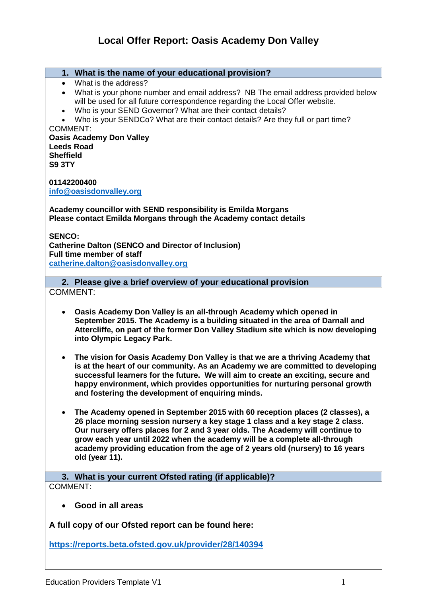# **Local Offer Report: Oasis Academy Don Valley**

- **1. What is the name of your educational provision?**
- What is the address?
- What is your phone number and email address? NB The email address provided below will be used for all future correspondence regarding the Local Offer website.
- Who is your SEND Governor? What are their contact details?
- Who is your SENDCo? What are their contact details? Are they full or part time? COMMENT:

**Oasis Academy Don Valley Leeds Road Sheffield S9 3TY**

**01142200400 [info@oasisdonvalley.org](mailto:info@oasisdonvalley.org)**

**Academy councillor with SEND responsibility is Emilda Morgans Please contact Emilda Morgans through the Academy contact details** 

**SENCO: Catherine Dalton (SENCO and Director of Inclusion) Full time member of staff [catherine.dalton@oasisdonvalley.org](mailto:catherine.dalton@oasisdonvalley.org)**

**2. Please give a brief overview of your educational provision** COMMENT:

- **Oasis Academy Don Valley is an all-through Academy which opened in September 2015. The Academy is a building situated in the area of Darnall and Attercliffe, on part of the former Don Valley Stadium site which is now developing into Olympic Legacy Park.**
- **The vision for Oasis Academy Don Valley is that we are a thriving Academy that is at the heart of our community. As an Academy we are committed to developing successful learners for the future. We will aim to create an exciting, secure and happy environment, which provides opportunities for nurturing personal growth and fostering the development of enquiring minds.**
- **The Academy opened in September 2015 with 60 reception places (2 classes), a 26 place morning session nursery a key stage 1 class and a key stage 2 class. Our nursery offers places for 2 and 3 year olds. The Academy will continue to grow each year until 2022 when the academy will be a complete all-through academy providing education from the age of 2 years old (nursery) to 16 years old (year 11).**

**3. What is your current Ofsted rating (if applicable)?** COMMENT:

**Good in all areas**

**A full copy of our Ofsted report can be found here:**

**<https://reports.beta.ofsted.gov.uk/provider/28/140394>**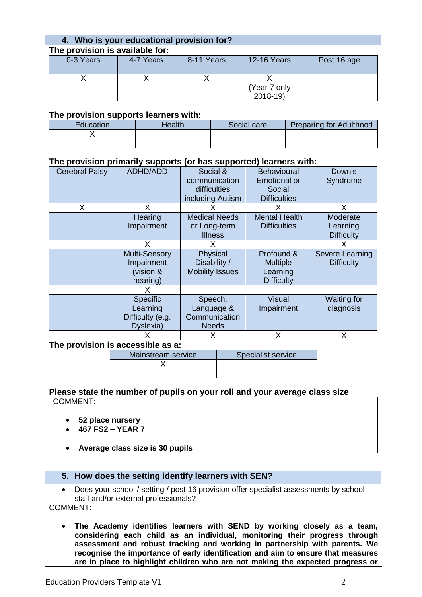| 4. Who is your educational provision for?                                                     |                                       |                                 |                           |                        |  |                           |  |                                                                            |  |
|-----------------------------------------------------------------------------------------------|---------------------------------------|---------------------------------|---------------------------|------------------------|--|---------------------------|--|----------------------------------------------------------------------------|--|
| The provision is available for:<br>0-3 Years<br>4-7 Years                                     |                                       |                                 |                           |                        |  |                           |  |                                                                            |  |
|                                                                                               |                                       |                                 | 8-11 Years                |                        |  | <b>12-16 Years</b>        |  | Post 16 age                                                                |  |
|                                                                                               |                                       |                                 |                           |                        |  |                           |  |                                                                            |  |
| X                                                                                             |                                       | X                               | X                         |                        |  | X                         |  |                                                                            |  |
|                                                                                               |                                       |                                 |                           |                        |  | (Year 7 only              |  |                                                                            |  |
|                                                                                               |                                       |                                 |                           |                        |  | 2018-19)                  |  |                                                                            |  |
|                                                                                               | The provision supports learners with: |                                 |                           |                        |  |                           |  |                                                                            |  |
| Education                                                                                     |                                       | <b>Health</b>                   |                           |                        |  | Social care               |  | <b>Preparing for Adulthood</b>                                             |  |
| X                                                                                             |                                       |                                 |                           |                        |  |                           |  |                                                                            |  |
|                                                                                               |                                       |                                 |                           |                        |  |                           |  |                                                                            |  |
|                                                                                               |                                       |                                 |                           |                        |  |                           |  |                                                                            |  |
| The provision primarily supports (or has supported) learners with:                            |                                       |                                 |                           |                        |  |                           |  |                                                                            |  |
| <b>Cerebral Palsy</b>                                                                         |                                       | <b>ADHD/ADD</b>                 |                           |                        |  |                           |  | Down's                                                                     |  |
|                                                                                               |                                       |                                 | Social &<br>communication |                        |  | <b>Behavioural</b>        |  |                                                                            |  |
|                                                                                               |                                       |                                 |                           |                        |  | <b>Emotional or</b>       |  | Syndrome                                                                   |  |
|                                                                                               |                                       |                                 |                           | difficulties           |  | Social                    |  |                                                                            |  |
|                                                                                               |                                       |                                 |                           | including Autism       |  | <b>Difficulties</b>       |  |                                                                            |  |
| X                                                                                             |                                       | X                               |                           | x                      |  | X                         |  | X                                                                          |  |
|                                                                                               |                                       | Hearing                         |                           | <b>Medical Needs</b>   |  | <b>Mental Health</b>      |  | Moderate                                                                   |  |
|                                                                                               |                                       | Impairment                      |                           | or Long-term           |  | <b>Difficulties</b>       |  | Learning                                                                   |  |
|                                                                                               |                                       |                                 |                           | <b>Illness</b>         |  |                           |  | <b>Difficulty</b>                                                          |  |
|                                                                                               |                                       | X                               | X                         |                        |  |                           |  | Х                                                                          |  |
|                                                                                               | Multi-Sensory                         |                                 |                           | Physical               |  | Profound &                |  | Severe Learning                                                            |  |
|                                                                                               | Impairment                            |                                 | Disability /              |                        |  |                           |  | <b>Difficulty</b>                                                          |  |
|                                                                                               |                                       | (vision &                       |                           | <b>Mobility Issues</b> |  | <b>Multiple</b>           |  |                                                                            |  |
|                                                                                               |                                       |                                 |                           |                        |  | Learning                  |  |                                                                            |  |
|                                                                                               |                                       | hearing)                        |                           |                        |  | <b>Difficulty</b>         |  |                                                                            |  |
|                                                                                               |                                       | X                               |                           |                        |  |                           |  |                                                                            |  |
|                                                                                               | Specific                              |                                 | Speech,                   |                        |  | <b>Visual</b>             |  | <b>Waiting for</b>                                                         |  |
|                                                                                               | Learning                              |                                 | Language &                |                        |  | Impairment                |  | diagnosis                                                                  |  |
|                                                                                               | Difficulty (e.g.                      |                                 | Communication             |                        |  |                           |  |                                                                            |  |
|                                                                                               | Dyslexia)                             |                                 | <b>Needs</b>              |                        |  |                           |  |                                                                            |  |
|                                                                                               |                                       |                                 |                           | x                      |  | X                         |  | X                                                                          |  |
| The provision is accessible as a:                                                             |                                       |                                 |                           |                        |  |                           |  |                                                                            |  |
|                                                                                               |                                       | Mainstream service              |                           |                        |  | <b>Specialist service</b> |  |                                                                            |  |
|                                                                                               |                                       | Х                               |                           |                        |  |                           |  |                                                                            |  |
|                                                                                               |                                       |                                 |                           |                        |  |                           |  |                                                                            |  |
|                                                                                               |                                       |                                 |                           |                        |  |                           |  |                                                                            |  |
|                                                                                               |                                       |                                 |                           |                        |  |                           |  |                                                                            |  |
| Please state the number of pupils on your roll and your average class size<br><b>COMMENT:</b> |                                       |                                 |                           |                        |  |                           |  |                                                                            |  |
|                                                                                               |                                       |                                 |                           |                        |  |                           |  |                                                                            |  |
|                                                                                               |                                       |                                 |                           |                        |  |                           |  |                                                                            |  |
| 52 place nursery                                                                              |                                       |                                 |                           |                        |  |                           |  |                                                                            |  |
| 467 FS2 - YEAR 7                                                                              |                                       |                                 |                           |                        |  |                           |  |                                                                            |  |
|                                                                                               |                                       |                                 |                           |                        |  |                           |  |                                                                            |  |
|                                                                                               |                                       | Average class size is 30 pupils |                           |                        |  |                           |  |                                                                            |  |
|                                                                                               |                                       |                                 |                           |                        |  |                           |  |                                                                            |  |
|                                                                                               |                                       |                                 |                           |                        |  |                           |  |                                                                            |  |
| 5. How does the setting identify learners with SEN?                                           |                                       |                                 |                           |                        |  |                           |  |                                                                            |  |
|                                                                                               |                                       |                                 |                           |                        |  |                           |  |                                                                            |  |
| Does your school / setting / post 16 provision offer specialist assessments by school         |                                       |                                 |                           |                        |  |                           |  |                                                                            |  |
| staff and/or external professionals?                                                          |                                       |                                 |                           |                        |  |                           |  |                                                                            |  |
| <b>COMMENT:</b>                                                                               |                                       |                                 |                           |                        |  |                           |  |                                                                            |  |
| The Academy identifies learners with SEND by working closely as a team,                       |                                       |                                 |                           |                        |  |                           |  |                                                                            |  |
|                                                                                               |                                       |                                 |                           |                        |  |                           |  |                                                                            |  |
|                                                                                               |                                       |                                 |                           |                        |  |                           |  | considering each child as an individual, monitoring their progress through |  |
|                                                                                               |                                       |                                 |                           |                        |  |                           |  | assessment and robust tracking and working in partnership with parents. We |  |
| recognise the importance of early identification and aim to ensure that measures              |                                       |                                 |                           |                        |  |                           |  |                                                                            |  |
| are in place to highlight children who are not making the expected progress or                |                                       |                                 |                           |                        |  |                           |  |                                                                            |  |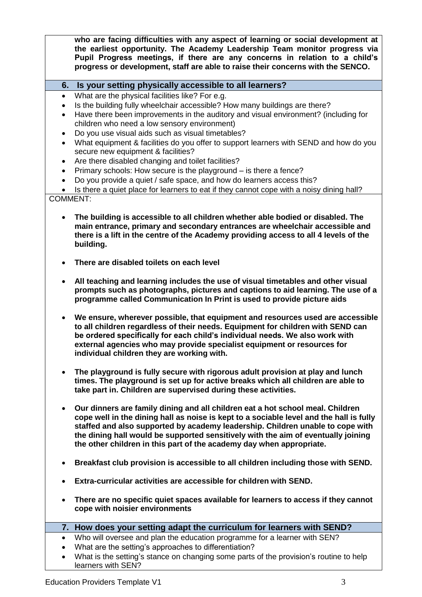**who are facing difficulties with any aspect of learning or social development at the earliest opportunity. The Academy Leadership Team monitor progress via Pupil Progress meetings, if there are any concerns in relation to a child's progress or development, staff are able to raise their concerns with the SENCO.**

# **6. Is your setting physically accessible to all learners?**

- What are the physical facilities like? For e.g.
- Is the building fully wheelchair accessible? How many buildings are there?
- Have there been improvements in the auditory and visual environment? (including for children who need a low sensory environment)
- Do you use visual aids such as visual timetables?
- What equipment & facilities do you offer to support learners with SEND and how do you secure new equipment & facilities?
- Are there disabled changing and toilet facilities?
- Primary schools: How secure is the playground is there a fence?
- Do you provide a quiet / safe space, and how do learners access this?

• Is there a quiet place for learners to eat if they cannot cope with a noisy dining hall? COMMENT:

- **The building is accessible to all children whether able bodied or disabled. The main entrance, primary and secondary entrances are wheelchair accessible and there is a lift in the centre of the Academy providing access to all 4 levels of the building.**
- **There are disabled toilets on each level**
- **All teaching and learning includes the use of visual timetables and other visual prompts such as photographs, pictures and captions to aid learning. The use of a programme called Communication In Print is used to provide picture aids**
- **We ensure, wherever possible, that equipment and resources used are accessible to all children regardless of their needs. Equipment for children with SEND can be ordered specifically for each child's individual needs. We also work with external agencies who may provide specialist equipment or resources for individual children they are working with.**
- **The playground is fully secure with rigorous adult provision at play and lunch times. The playground is set up for active breaks which all children are able to take part in. Children are supervised during these activities.**
- **Our dinners are family dining and all children eat a hot school meal. Children cope well in the dining hall as noise is kept to a sociable level and the hall is fully staffed and also supported by academy leadership. Children unable to cope with the dining hall would be supported sensitively with the aim of eventually joining the other children in this part of the academy day when appropriate.**
- **Breakfast club provision is accessible to all children including those with SEND.**
- **Extra-curricular activities are accessible for children with SEND.**
- **There are no specific quiet spaces available for learners to access if they cannot cope with noisier environments**

### **7. How does your setting adapt the curriculum for learners with SEND?**

- Who will oversee and plan the education programme for a learner with SEN?
- What are the setting's approaches to differentiation?
- What is the setting's stance on changing some parts of the provision's routine to help learners with SEN?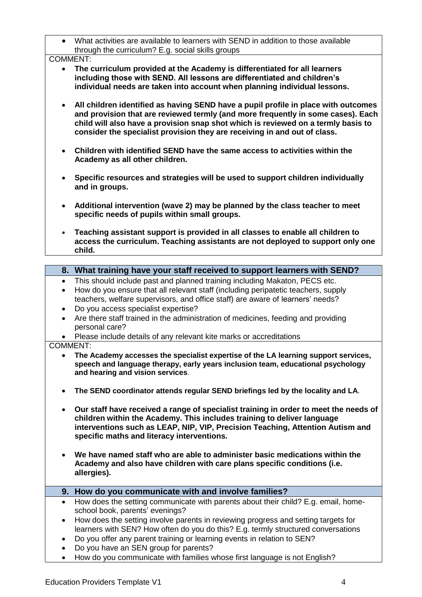What activities are available to learners with SEND in addition to those available through the curriculum? E.g. social skills groups

COMMENT:

- **The curriculum provided at the Academy is differentiated for all learners including those with SEND. All lessons are differentiated and children's individual needs are taken into account when planning individual lessons.**
- **All children identified as having SEND have a pupil profile in place with outcomes and provision that are reviewed termly (and more frequently in some cases). Each child will also have a provision snap shot which is reviewed on a termly basis to consider the specialist provision they are receiving in and out of class.**
- **Children with identified SEND have the same access to activities within the Academy as all other children.**
- **Specific resources and strategies will be used to support children individually and in groups.**
- **Additional intervention (wave 2) may be planned by the class teacher to meet specific needs of pupils within small groups.**
- **Teaching assistant support is provided in all classes to enable all children to access the curriculum. Teaching assistants are not deployed to support only one child.**

|                 | 8. What training have your staff received to support learners with SEND?                                                                                                                                                                                                                        |  |  |  |  |  |
|-----------------|-------------------------------------------------------------------------------------------------------------------------------------------------------------------------------------------------------------------------------------------------------------------------------------------------|--|--|--|--|--|
| $\bullet$       | This should include past and planned training including Makaton, PECS etc.                                                                                                                                                                                                                      |  |  |  |  |  |
| $\bullet$       | How do you ensure that all relevant staff (including peripatetic teachers, supply                                                                                                                                                                                                               |  |  |  |  |  |
|                 | teachers, welfare supervisors, and office staff) are aware of learners' needs?                                                                                                                                                                                                                  |  |  |  |  |  |
| $\bullet$       | Do you access specialist expertise?                                                                                                                                                                                                                                                             |  |  |  |  |  |
| $\bullet$       | Are there staff trained in the administration of medicines, feeding and providing                                                                                                                                                                                                               |  |  |  |  |  |
|                 | personal care?                                                                                                                                                                                                                                                                                  |  |  |  |  |  |
|                 | Please include details of any relevant kite marks or accreditations                                                                                                                                                                                                                             |  |  |  |  |  |
| <b>COMMENT:</b> |                                                                                                                                                                                                                                                                                                 |  |  |  |  |  |
| $\bullet$       | The Academy accesses the specialist expertise of the LA learning support services,<br>speech and language therapy, early years inclusion team, educational psychology<br>and hearing and vision services.                                                                                       |  |  |  |  |  |
| $\bullet$       | The SEND coordinator attends regular SEND briefings led by the locality and LA.                                                                                                                                                                                                                 |  |  |  |  |  |
| $\bullet$       | Our staff have received a range of specialist training in order to meet the needs of<br>children within the Academy. This includes training to deliver language<br>interventions such as LEAP, NIP, VIP, Precision Teaching, Attention Autism and<br>specific maths and literacy interventions. |  |  |  |  |  |
| $\bullet$       | We have named staff who are able to administer basic medications within the<br>Academy and also have children with care plans specific conditions (i.e.<br>allergies).                                                                                                                          |  |  |  |  |  |
|                 | 9. How do you communicate with and involve families?                                                                                                                                                                                                                                            |  |  |  |  |  |
| $\bullet$       | How does the setting communicate with parents about their child? E.g. email, home-                                                                                                                                                                                                              |  |  |  |  |  |
|                 | school book, parents' evenings?                                                                                                                                                                                                                                                                 |  |  |  |  |  |
| $\bullet$       | How does the setting involve parents in reviewing progress and setting targets for                                                                                                                                                                                                              |  |  |  |  |  |
|                 | learners with SEN? How often do you do this? E.g. termly structured conversations                                                                                                                                                                                                               |  |  |  |  |  |
| ٠               | Do you offer any parent training or learning events in relation to SEN?                                                                                                                                                                                                                         |  |  |  |  |  |
|                 | Do you have an SEN group for parents?                                                                                                                                                                                                                                                           |  |  |  |  |  |
|                 | How do you communicate with families whose first language is not English?                                                                                                                                                                                                                       |  |  |  |  |  |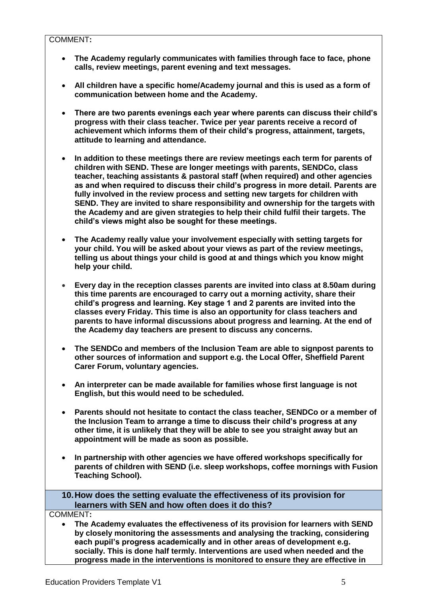COMMENT**:**

- **The Academy regularly communicates with families through face to face, phone calls, review meetings, parent evening and text messages.**
- **All children have a specific home/Academy journal and this is used as a form of communication between home and the Academy.**
- **There are two parents evenings each year where parents can discuss their child's progress with their class teacher. Twice per year parents receive a record of achievement which informs them of their child's progress, attainment, targets, attitude to learning and attendance.**
- **In addition to these meetings there are review meetings each term for parents of children with SEND. These are longer meetings with parents, SENDCo, class teacher, teaching assistants & pastoral staff (when required) and other agencies as and when required to discuss their child's progress in more detail. Parents are fully involved in the review process and setting new targets for children with SEND. They are invited to share responsibility and ownership for the targets with the Academy and are given strategies to help their child fulfil their targets. The child's views might also be sought for these meetings.**
- **The Academy really value your involvement especially with setting targets for your child. You will be asked about your views as part of the review meetings, telling us about things your child is good at and things which you know might help your child.**
- **Every day in the reception classes parents are invited into class at 8.50am during this time parents are encouraged to carry out a morning activity, share their child's progress and learning. Key stage 1 and 2 parents are invited into the classes every Friday. This time is also an opportunity for class teachers and parents to have informal discussions about progress and learning. At the end of the Academy day teachers are present to discuss any concerns.**
- **The SENDCo and members of the Inclusion Team are able to signpost parents to other sources of information and support e.g. the Local Offer, Sheffield Parent Carer Forum, voluntary agencies.**
- **An interpreter can be made available for families whose first language is not English, but this would need to be scheduled.**
- **Parents should not hesitate to contact the class teacher, SENDCo or a member of the Inclusion Team to arrange a time to discuss their child's progress at any other time, it is unlikely that they will be able to see you straight away but an appointment will be made as soon as possible.**
- **In partnership with other agencies we have offered workshops specifically for parents of children with SEND (i.e. sleep workshops, coffee mornings with Fusion Teaching School).**

**10.How does the setting evaluate the effectiveness of its provision for learners with SEN and how often does it do this?**

COMMENT**:**

 **The Academy evaluates the effectiveness of its provision for learners with SEND by closely monitoring the assessments and analysing the tracking, considering each pupil's progress academically and in other areas of development e.g. socially. This is done half termly. Interventions are used when needed and the progress made in the interventions is monitored to ensure they are effective in**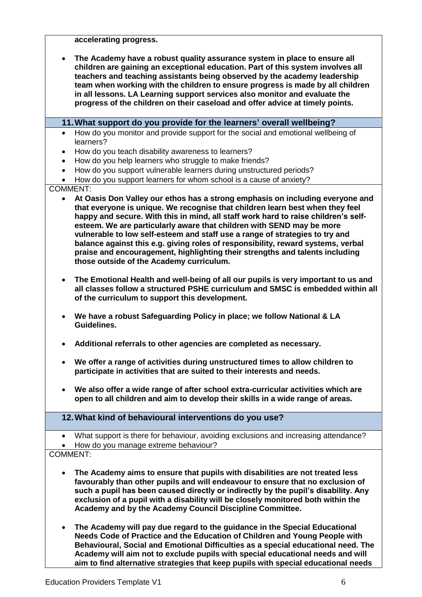**accelerating progress.** 

 **The Academy have a robust quality assurance system in place to ensure all children are gaining an exceptional education. Part of this system involves all teachers and teaching assistants being observed by the academy leadership team when working with the children to ensure progress is made by all children in all lessons. LA Learning support services also monitor and evaluate the progress of the children on their caseload and offer advice at timely points.** 

**11.What support do you provide for the learners' overall wellbeing?**

- How do you monitor and provide support for the social and emotional wellbeing of learners?
- How do you teach disability awareness to learners?
- How do you help learners who struggle to make friends?
- How do you support vulnerable learners during unstructured periods?
- How do you support learners for whom school is a cause of anxiety?

#### COMMENT:

- **At Oasis Don Valley our ethos has a strong emphasis on including everyone and that everyone is unique. We recognise that children learn best when they feel happy and secure. With this in mind, all staff work hard to raise children's selfesteem. We are particularly aware that children with SEND may be more vulnerable to low self-esteem and staff use a range of strategies to try and balance against this e.g. giving roles of responsibility, reward systems, verbal praise and encouragement, highlighting their strengths and talents including those outside of the Academy curriculum.**
- **The Emotional Health and well-being of all our pupils is very important to us and all classes follow a structured PSHE curriculum and SMSC is embedded within all of the curriculum to support this development.**
- **We have a robust Safeguarding Policy in place; we follow National & LA Guidelines.**
- **Additional referrals to other agencies are completed as necessary.**
- **We offer a range of activities during unstructured times to allow children to participate in activities that are suited to their interests and needs.**
- **We also offer a wide range of after school extra-curricular activities which are open to all children and aim to develop their skills in a wide range of areas.**

# **12.What kind of behavioural interventions do you use?**

- What support is there for behaviour, avoiding exclusions and increasing attendance?
- How do you manage extreme behaviour?

### COMMENT:

- **The Academy aims to ensure that pupils with disabilities are not treated less favourably than other pupils and will endeavour to ensure that no exclusion of such a pupil has been caused directly or indirectly by the pupil's disability. Any exclusion of a pupil with a disability will be closely monitored both within the Academy and by the Academy Council Discipline Committee.**
- **The Academy will pay due regard to the guidance in the Special Educational Needs Code of Practice and the Education of Children and Young People with Behavioural, Social and Emotional Difficulties as a special educational need. The Academy will aim not to exclude pupils with special educational needs and will aim to find alternative strategies that keep pupils with special educational needs**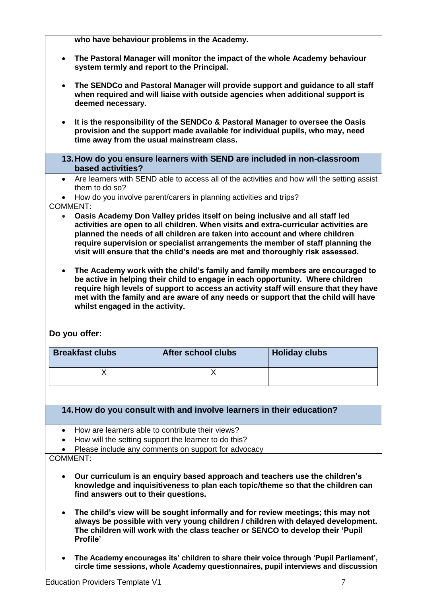**who have behaviour problems in the Academy. The Pastoral Manager will monitor the impact of the whole Academy behaviour system termly and report to the Principal. The SENDCo and Pastoral Manager will provide support and guidance to all staff when required and will liaise with outside agencies when additional support is deemed necessary. It is the responsibility of the SENDCo & Pastoral Manager to oversee the Oasis provision and the support made available for individual pupils, who may, need time away from the usual mainstream class. 13.How do you ensure learners with SEND are included in non-classroom based activities?** Are learners with SEND able to access all of the activities and how will the setting assist them to do so? • How do you involve parent/carers in planning activities and trips? COMMENT: **Oasis Academy Don Valley prides itself on being inclusive and all staff led activities are open to all children. When visits and extra-curricular activities are planned the needs of all children are taken into account and where children require supervision or specialist arrangements the member of staff planning the visit will ensure that the child's needs are met and thoroughly risk assessed. The Academy work with the child's family and family members are encouraged to be active in helping their child to engage in each opportunity. Where children require high levels of support to access an activity staff will ensure that they have met with the family and are aware of any needs or support that the child will have whilst engaged in the activity. Do you offer: Breakfast clubs After school clubs Holiday clubs**  $\mathsf X$  x x **14.How do you consult with and involve learners in their education?** How are learners able to contribute their views? • How will the setting support the learner to do this? • Please include any comments on support for advocacy COMMENT: **Our curriculum is an enquiry based approach and teachers use the children's knowledge and inquisitiveness to plan each topic/theme so that the children can find answers out to their questions. The child's view will be sought informally and for review meetings; this may not always be possible with very young children / children with delayed development. The children will work with the class teacher or SENCO to develop their 'Pupil Profile' The Academy encourages its' children to share their voice through 'Pupil Parliament', circle time sessions, whole Academy questionnaires, pupil interviews and discussion**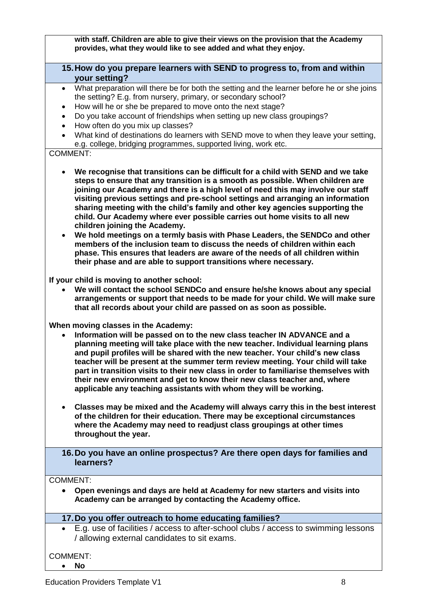**with staff. Children are able to give their views on the provision that the Academy provides, what they would like to see added and what they enjoy.**

# **15.How do you prepare learners with SEND to progress to, from and within your setting?**

- What preparation will there be for both the setting and the learner before he or she joins the setting? E.g. from nursery, primary, or secondary school?
- How will he or she be prepared to move onto the next stage?
- Do you take account of friendships when setting up new class groupings?
- How often do you mix up classes?
- What kind of destinations do learners with SEND move to when they leave your setting, e.g. college, bridging programmes, supported living, work etc.

# COMMENT:

- **We recognise that transitions can be difficult for a child with SEND and we take steps to ensure that any transition is a smooth as possible. When children are joining our Academy and there is a high level of need this may involve our staff visiting previous settings and pre-school settings and arranging an information sharing meeting with the child's family and other key agencies supporting the child. Our Academy where ever possible carries out home visits to all new children joining the Academy.**
- **We hold meetings on a termly basis with Phase Leaders, the SENDCo and other members of the inclusion team to discuss the needs of children within each phase. This ensures that leaders are aware of the needs of all children within their phase and are able to support transitions where necessary.**

**If your child is moving to another school:**

 **We will contact the school SENDCo and ensure he/she knows about any special arrangements or support that needs to be made for your child. We will make sure that all records about your child are passed on as soon as possible.**

### **When moving classes in the Academy:**

- **Information will be passed on to the new class teacher IN ADVANCE and a planning meeting will take place with the new teacher. Individual learning plans and pupil profiles will be shared with the new teacher. Your child's new class teacher will be present at the summer term review meeting. Your child will take part in transition visits to their new class in order to familiarise themselves with their new environment and get to know their new class teacher and, where applicable any teaching assistants with whom they will be working.**
- **Classes may be mixed and the Academy will always carry this in the best interest of the children for their education. There may be exceptional circumstances where the Academy may need to readjust class groupings at other times throughout the year.**

# **16.Do you have an online prospectus? Are there open days for families and learners?**

# COMMENT:

 **Open evenings and days are held at Academy for new starters and visits into Academy can be arranged by contacting the Academy office.**

### **17.Do you offer outreach to home educating families?**

 E.g. use of facilities / access to after-school clubs / access to swimming lessons / allowing external candidates to sit exams.

### COMMENT:

**No**